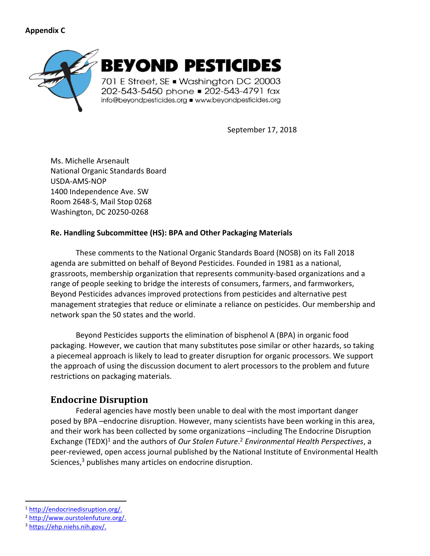### **Appendix C**



September 17, 2018

Ms. Michelle Arsenault National Organic Standards Board USDA-AMS-NOP 1400 Independence Ave. SW Room 2648-S, Mail Stop 0268 Washington, DC 20250-0268

#### **Re. Handling Subcommittee (HS): BPA and Other Packaging Materials**

These comments to the National Organic Standards Board (NOSB) on its Fall 2018 agenda are submitted on behalf of Beyond Pesticides. Founded in 1981 as a national, grassroots, membership organization that represents community-based organizations and a range of people seeking to bridge the interests of consumers, farmers, and farmworkers, Beyond Pesticides advances improved protections from pesticides and alternative pest management strategies that reduce or eliminate a reliance on pesticides. Our membership and network span the 50 states and the world.

Beyond Pesticides supports the elimination of bisphenol A (BPA) in organic food packaging. However, we caution that many substitutes pose similar or other hazards, so taking a piecemeal approach is likely to lead to greater disruption for organic processors. We support the approach of using the discussion document to alert processors to the problem and future restrictions on packaging materials.

# **Endocrine Disruption**

Federal agencies have mostly been unable to deal with the most important danger posed by BPA –endocrine disruption. However, many scientists have been working in this area, and their work has been collected by some organizations –including The Endocrine Disruption Exchange (TEDX)<sup>1</sup> and the authors of *Our Stolen Future*.<sup>2</sup> *Environmental Health Perspectives*, a peer-reviewed, open access journal published by the National Institute of Environmental Health Sciences,<sup>3</sup> publishes many articles on endocrine disruption.

<sup>1</sup> [http://endocrinedisruption.org/.](http://endocrinedisruption.org/)

<sup>2</sup> [http://www.ourstolenfuture.org/.](http://www.ourstolenfuture.org/)

<sup>3</sup> [https://ehp.niehs.nih.gov/.](https://ehp.niehs.nih.gov/)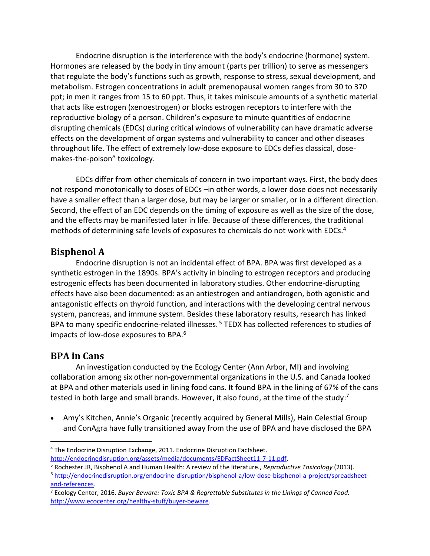Endocrine disruption is the interference with the body's endocrine (hormone) system. Hormones are released by the body in tiny amount (parts per trillion) to serve as messengers that regulate the body's functions such as growth, response to stress, sexual development, and metabolism. Estrogen concentrations in adult premenopausal women ranges from 30 to 370 ppt; in men it ranges from 15 to 60 ppt. Thus, it takes miniscule amounts of a synthetic material that acts like estrogen (xenoestrogen) or blocks estrogen receptors to interfere with the reproductive biology of a person. Children's exposure to minute quantities of endocrine disrupting chemicals (EDCs) during critical windows of vulnerability can have dramatic adverse effects on the development of organ systems and vulnerability to cancer and other diseases throughout life. The effect of extremely low-dose exposure to EDCs defies classical, dosemakes-the-poison" toxicology.

EDCs differ from other chemicals of concern in two important ways. First, the body does not respond monotonically to doses of EDCs –in other words, a lower dose does not necessarily have a smaller effect than a larger dose, but may be larger or smaller, or in a different direction. Second, the effect of an EDC depends on the timing of exposure as well as the size of the dose, and the effects may be manifested later in life. Because of these differences, the traditional methods of determining safe levels of exposures to chemicals do not work with EDCs.<sup>4</sup>

## **Bisphenol A**

Endocrine disruption is not an incidental effect of BPA. BPA was first developed as a synthetic estrogen in the 1890s. BPA's activity in binding to estrogen receptors and producing estrogenic effects has been documented in laboratory studies. Other endocrine-disrupting effects have also been documented: as an antiestrogen and antiandrogen, both agonistic and antagonistic effects on thyroid function, and interactions with the developing central nervous system, pancreas, and immune system. Besides these laboratory results, research has linked BPA to many specific endocrine-related illnesses.<sup>5</sup> TEDX has collected references to studies of impacts of low-dose exposures to BPA.<sup>6</sup>

## **BPA in Cans**

An investigation conducted by the Ecology Center (Ann Arbor, MI) and involving collaboration among six other non-governmental organizations in the U.S. and Canada looked at BPA and other materials used in lining food cans. It found BPA in the lining of 67% of the cans tested in both large and small brands. However, it also found, at the time of the study:<sup>7</sup>

• Amy's Kitchen, Annie's Organic (recently acquired by General Mills), Hain Celestial Group and ConAgra have fully transitioned away from the use of BPA and have disclosed the BPA

<sup>4</sup> The Endocrine Disruption Exchange, 2011. Endocrine Disruption Factsheet. [http://endocrinedisruption.org/assets/media/documents/EDFactSheet11-7-11.pdf.](http://endocrinedisruption.org/assets/media/documents/EDFactSheet11-7-11.pdf)

<sup>5</sup> Rochester JR, Bisphenol A and Human Health: A review of the literature., *Reproductive Toxicology* (2013).

<sup>6</sup> [http://endocrinedisruption.org/endocrine-disruption/bisphenol-a/low-dose-bisphenol-a-project/spreadsheet](http://endocrinedisruption.org/endocrine-disruption/bisphenol-a/low-dose-bisphenol-a-project/spreadsheet-and-references)[and-references.](http://endocrinedisruption.org/endocrine-disruption/bisphenol-a/low-dose-bisphenol-a-project/spreadsheet-and-references)

<sup>7</sup> Ecology Center, 2016. *Buyer Beware: Toxic BPA & Regrettable Substitutes in the Linings of Canned Food.*  <http://www.ecocenter.org/healthy-stuff/buyer-beware>*.*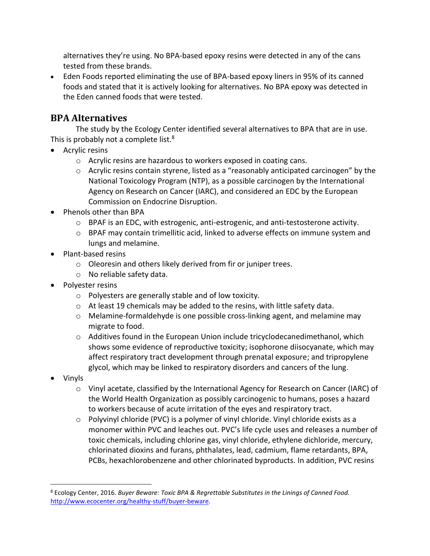alternatives they're using. No BPA-based epoxy resins were detected in any of the cans tested from these brands.

• Eden Foods reported eliminating the use of BPA-based epoxy liners in 95% of its canned foods and stated that it is actively looking for alternatives. No BPA epoxy was detected in the Eden canned foods that were tested.

# **BPA Alternatives**

The study by the Ecology Center identified several alternatives to BPA that are in use. This is probably not a complete list.<sup>8</sup>

- Acrylic resins
	- o Acrylic resins are hazardous to workers exposed in coating cans.
	- o Acrylic resins contain styrene, listed as a "reasonably anticipated carcinogen" by the National Toxicology Program (NTP), as a possible carcinogen by the International Agency on Research on Cancer (IARC), and considered an EDC by the European Commission on Endocrine Disruption.
- Phenols other than BPA
	- o BPAF is an EDC, with estrogenic, anti-estrogenic, and anti-testosterone activity.
	- o BPAF may contain trimellitic acid, linked to adverse effects on immune system and lungs and melamine.
- Plant-based resins
	- o Oleoresin and others likely derived from fir or juniper trees.
	- o No reliable safety data.
- Polyester resins
	- o Polyesters are generally stable and of low toxicity.
	- o At least 19 chemicals may be added to the resins, with little safety data.
	- o Melamine-formaldehyde is one possible cross-linking agent, and melamine may migrate to food.
	- $\circ$  Additives found in the European Union include tricyclodecanedimethanol, which shows some evidence of reproductive toxicity; isophorone diisocyanate, which may affect respiratory tract development through prenatal exposure; and tripropylene glycol, which may be linked to respiratory disorders and cancers of the lung.
- Vinyls
	- o Vinyl acetate, classified by the International Agency for Research on Cancer (IARC) of the World Health Organization as possibly carcinogenic to humans, poses a hazard to workers because of acute irritation of the eyes and respiratory tract.
	- $\circ$  Polyvinyl chloride (PVC) is a polymer of vinyl chloride. Vinyl chloride exists as a monomer within PVC and leaches out. PVC's life cycle uses and releases a number of toxic chemicals, including chlorine gas, vinyl chloride, ethylene dichloride, mercury, chlorinated dioxins and furans, phthalates, lead, cadmium, flame retardants, BPA, PCBs, hexachlorobenzene and other chlorinated byproducts. In addition, PVC resins

<sup>8</sup> Ecology Center, 2016. *Buyer Beware: Toxic BPA & Regrettable Substitutes in the Linings of Canned Food.*  <http://www.ecocenter.org/healthy-stuff/buyer-beware>*.*